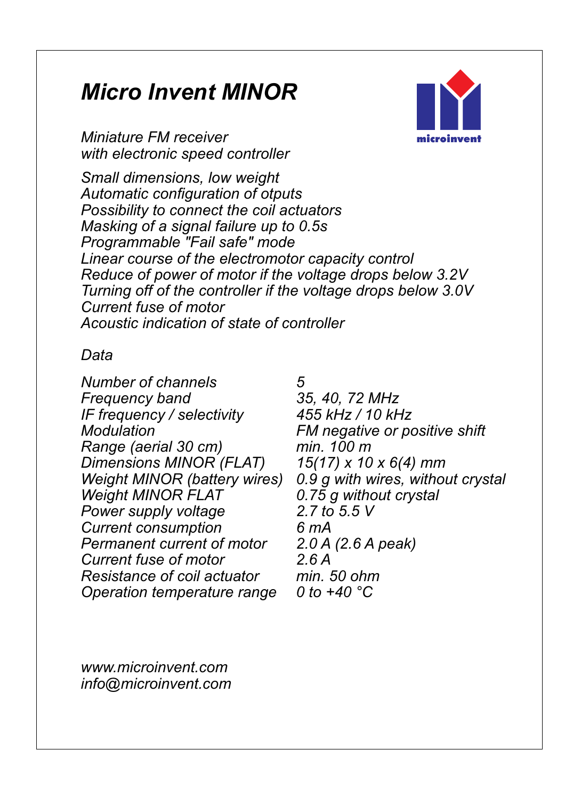# **Micro Invent MINOR** *Micro Invent MINOR*

*Miniature FM receiver with electronic speed controller*

*Small dimensions, low weight Automatic configuration of otputs Possibility to connect the coil actuators Masking of a signal failure up to 0.5s Programmable "Fail safe" mode Acoustic indication of state of controller Linear course of the electromotor capacity control Reduce of power of motor if the voltage drops below 3.2V Turning off of the controller if the voltage drops below 3.0V Current fuse of motor*

### *Data*

*Number of channels 5 Frequency band Power supply voltage 2.7 to 5.5 V Current consumption 6 mA Permanent current of motor 2.0 A (2.6 A peak) Current fuse of motor 2.6 A Resistance of coil actuator min. 50 ohm Operation temperature range IF frequency / selectivity 455 kHz / 10 kHz Modulation FM negative or positive shift Range (aerial 30 cm) min. 100 m Dimensions MINOR (FLAT) Weight MINOR FLAT*

*0 to +40 C° 0.75 g without crystal Weight MINOR (battery wires) 0.9 g with wires, without crystal* 

*info@microinvent.com www.microinvent.com*

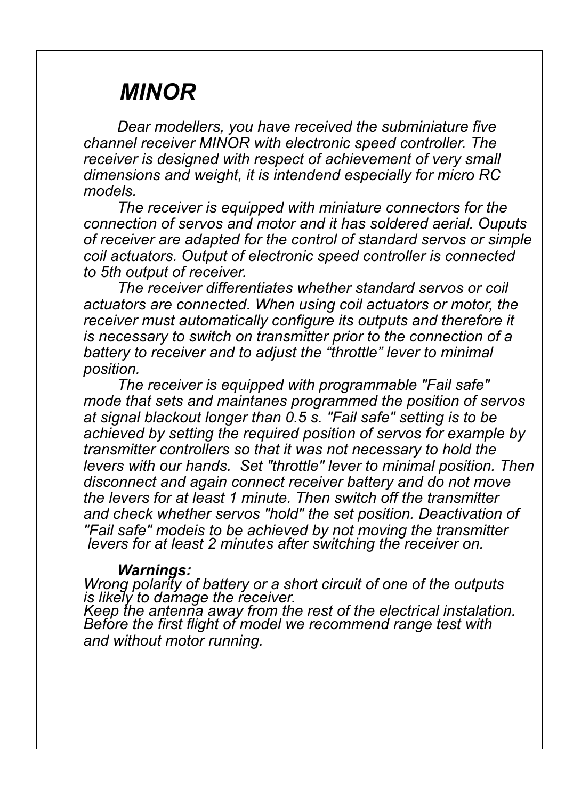# **MINOR** *MINOR*

*Dear modellers, you have received the subminiature five channel receiver MINOR with electronic speed controller. The receiver is designed with respect of achievement of very small dimensions and weight, it is intendend especially for micro RC models.*

*The receiver is equipped with miniature connectors for the connection of servos and motor and it has soldered aerial. Ouputs of receiver are adapted for the control of standard servos or simple coil actuators. Output of electronic speed controller is connected to 5th output of receiver.*

*is necessary to switch on transmitter prior to the connection of a The receiver differentiates whether standard servos or coil actuators are connected. When using coil actuators or motor, the battery to receiver and to adjust the "throttle" lever to minimal receiver must automatically configure its outputs and therefore it position.*

*The receiver is equipped with programmable "Fail safe" mode that sets and maintanes programmed the position of servos at signal blackout longer than 0.5 s. "Fail safe" setting is to be achieved by setting the required position of servos for example by transmitter controllers so that it was not necessary to hold the levers with our hands. Set "throttle" lever to minimal position. Then disconnect and again connect receiver battery and do not move the levers for at least 1 minute. Then switch off the transmitter and check whether servos "hold" the set position. Deactivation of "Fail safe" modeis to be achieved by not moving the transmitter levers for at least 2 minutes after switching the receiver on.*

*Warnings: Wrong polarity of battery or a short circuit of one of the outputs is likely to damage the receiver.*

*Keep the antenna away from the rest of the electrical instalation. and without motor running. Before the first flight of model we recommend range test with*